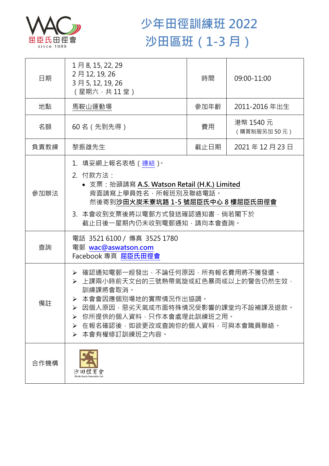

## **少年田徑訓練班 2022 沙田區班(1-3 月)**

| 日期   | 1月8, 15, 22, 29<br>2月12, 19, 26<br>3月5, 12, 19, 26<br>(星期六,共11堂)                                                                                                                                                                             | 時間   | 09:00-11:00              |  |
|------|----------------------------------------------------------------------------------------------------------------------------------------------------------------------------------------------------------------------------------------------|------|--------------------------|--|
| 地點   | 馬鞍山運動場                                                                                                                                                                                                                                       | 參加年齡 | 2011-2016年出生             |  |
| 名額   | 60名 (先到先得)                                                                                                                                                                                                                                   | 費用   | 港幣 1540 元<br>(購買制服另加50元) |  |
| 負責教練 | 黎振雄先生                                                                                                                                                                                                                                        | 截止日期 | 2021年12月23日              |  |
| 參加辦法 | 1.填妥網上報名表格(連結) <sup>。</sup><br>2. 付款方法:<br>• 支票: 抬頭請寫 A.S. Watson Retail (H.K.) Limited<br>背面請寫上學員姓名,所報班別及聯絡電話。<br>然後寄到沙田火炭禾寮坑路 1-5 號屈臣氏中心 8 樓屈臣氏田徑會<br>3. 本會收到支票後將以電郵方式發送確認通知書,倘若閣下於<br>截止日後一星期內仍未收到電郵通知,請向本會查詢。                            |      |                          |  |
| 查詢   | 電話 3521 6100 / 傳真 3525 1780<br>電郵 wac@aswatson.com<br>Facebook 專頁 屈臣氏田徑會                                                                                                                                                                     |      |                          |  |
| 備註   | ▶ 確認通知電郵一經發出,不論任何原因,所有報名費用將不獲發還。<br>▶ 上課兩小時前天文台的三號熱帶氣旋或紅色暴雨或以上的警告仍然生效,<br>訓練課將會取消。<br>▶ 本會會因應個別場地的實際情況作出協調。<br>因個人原因,惡劣天氣或市面特殊情況受影響的課堂均不設補課及退款。<br>你所提供的個人資料,只作本會處理此訓練班之用。<br>➤<br>在報名確認後,如欲更改或查詢你的個人資料,可與本會職員聯絡。<br>➤<br>本會有權修訂訓練班之內容。<br>➤ |      |                          |  |
| 合作機構 | 沙田體育會                                                                                                                                                                                                                                        |      |                          |  |